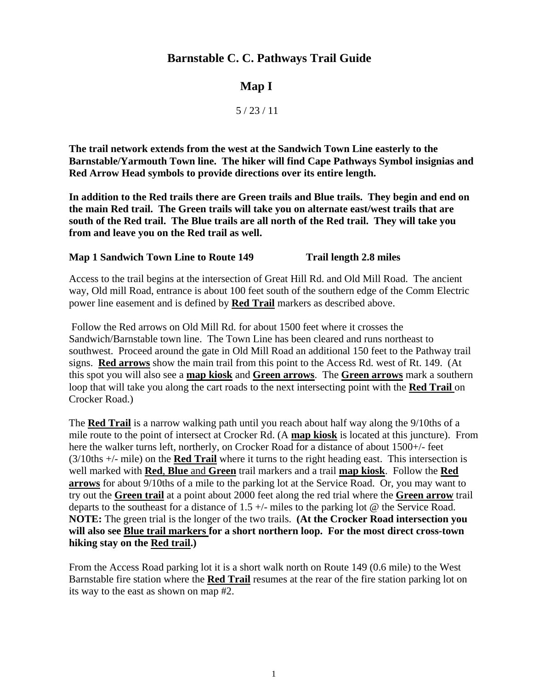## **Barnstable C. C. Pathways Trail Guide**

## **Map I**

5 / 23 / 11

**The trail network extends from the west at the Sandwich Town Line easterly to the Barnstable/Yarmouth Town line. The hiker will find Cape Pathways Symbol insignias and Red Arrow Head symbols to provide directions over its entire length.** 

**In addition to the Red trails there are Green trails and Blue trails. They begin and end on the main Red trail. The Green trails will take you on alternate east/west trails that are south of the Red trail. The Blue trails are all north of the Red trail. They will take you from and leave you on the Red trail as well.** 

#### **Map 1 Sandwich Town Line to Route 149 Trail length 2.8 miles**

Access to the trail begins at the intersection of Great Hill Rd. and Old Mill Road. The ancient way, Old mill Road, entrance is about 100 feet south of the southern edge of the Comm Electric power line easement and is defined by **Red Trail** markers as described above.

 Follow the Red arrows on Old Mill Rd. for about 1500 feet where it crosses the Sandwich/Barnstable town line. The Town Line has been cleared and runs northeast to southwest. Proceed around the gate in Old Mill Road an additional 150 feet to the Pathway trail signs. **Red arrows** show the main trail from this point to the Access Rd. west of Rt. 149. (At this spot you will also see a **map kiosk** and **Green arrows**. The **Green arrows** mark a southern loop that will take you along the cart roads to the next intersecting point with the **Red Trail** on Crocker Road.)

The **Red Trail** is a narrow walking path until you reach about half way along the 9/10ths of a mile route to the point of intersect at Crocker Rd. (A **map kiosk** is located at this juncture). From here the walker turns left, northerly, on Crocker Road for a distance of about 1500+/- feet (3/10ths +/- mile) on the **Red Trail** where it turns to the right heading east. This intersection is well marked with **Red**, **Blue** and **Green** trail markers and a trail **map kiosk**. Follow the **Red arrows** for about 9/10ths of a mile to the parking lot at the Service Road. Or, you may want to try out the **Green trail** at a point about 2000 feet along the red trial where the **Green arrow** trail departs to the southeast for a distance of  $1.5 +/-$  miles to the parking lot @ the Service Road. **NOTE:** The green trial is the longer of the two trails. **(At the Crocker Road intersection you will also see Blue trail markers for a short northern loop. For the most direct cross-town hiking stay on the Red trail.)** 

From the Access Road parking lot it is a short walk north on Route 149 (0.6 mile) to the West Barnstable fire station where the **Red Trail** resumes at the rear of the fire station parking lot on its way to the east as shown on map #2.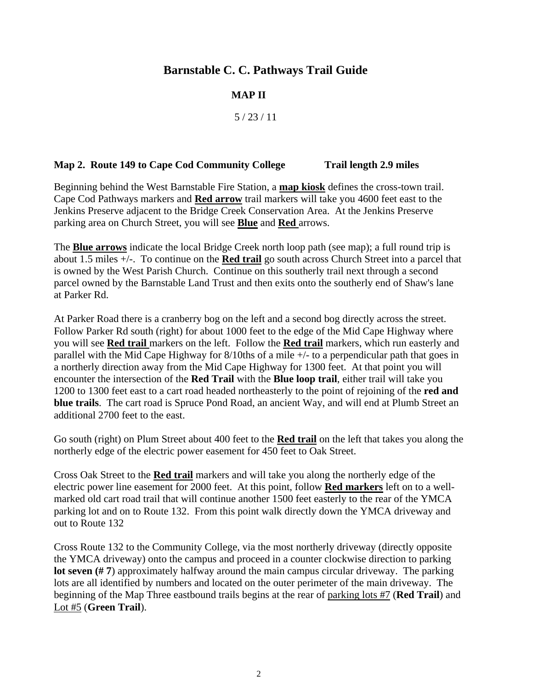## **Barnstable C. C. Pathways Trail Guide**

### **MAP II**

5 / 23 / 11

#### **Map 2. Route 149 to Cape Cod Community College Trail length 2.9 miles**

Beginning behind the West Barnstable Fire Station, a **map kiosk** defines the cross-town trail. Cape Cod Pathways markers and **Red arrow** trail markers will take you 4600 feet east to the Jenkins Preserve adjacent to the Bridge Creek Conservation Area. At the Jenkins Preserve parking area on Church Street, you will see **Blue** and **Red** arrows.

The **Blue arrows** indicate the local Bridge Creek north loop path (see map); a full round trip is about 1.5 miles +/-. To continue on the **Red trail** go south across Church Street into a parcel that is owned by the West Parish Church. Continue on this southerly trail next through a second parcel owned by the Barnstable Land Trust and then exits onto the southerly end of Shaw's lane at Parker Rd.

At Parker Road there is a cranberry bog on the left and a second bog directly across the street. Follow Parker Rd south (right) for about 1000 feet to the edge of the Mid Cape Highway where you will see **Red trail** markers on the left. Follow the **Red trail** markers, which run easterly and parallel with the Mid Cape Highway for 8/10ths of a mile +/- to a perpendicular path that goes in a northerly direction away from the Mid Cape Highway for 1300 feet. At that point you will encounter the intersection of the **Red Trail** with the **Blue loop trail**, either trail will take you 1200 to 1300 feet east to a cart road headed northeasterly to the point of rejoining of the **red and blue trails**. The cart road is Spruce Pond Road, an ancient Way, and will end at Plumb Street an additional 2700 feet to the east.

Go south (right) on Plum Street about 400 feet to the **Red trail** on the left that takes you along the northerly edge of the electric power easement for 450 feet to Oak Street.

Cross Oak Street to the **Red trail** markers and will take you along the northerly edge of the electric power line easement for 2000 feet. At this point, follow **Red markers** left on to a wellmarked old cart road trail that will continue another 1500 feet easterly to the rear of the YMCA parking lot and on to Route 132. From this point walk directly down the YMCA driveway and out to Route 132

Cross Route 132 to the Community College, via the most northerly driveway (directly opposite the YMCA driveway) onto the campus and proceed in a counter clockwise direction to parking **lot seven (# 7**) approximately halfway around the main campus circular driveway. The parking lots are all identified by numbers and located on the outer perimeter of the main driveway. The beginning of the Map Three eastbound trails begins at the rear of parking lots #7 (**Red Trail**) and Lot #5 (**Green Trail**).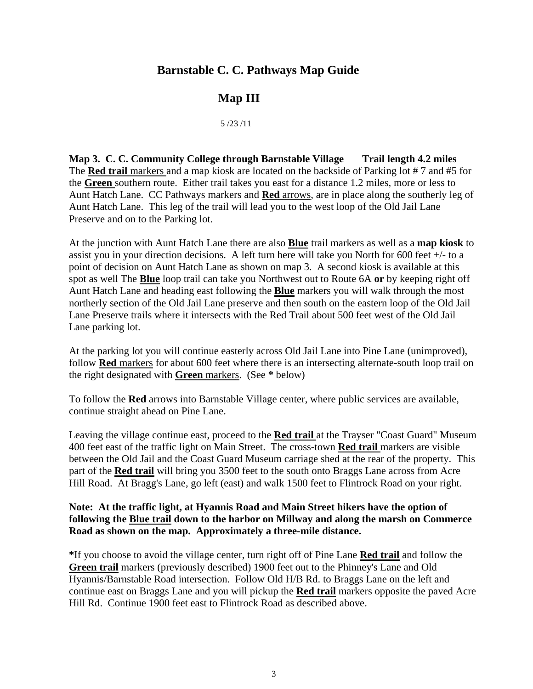## **Barnstable C. C. Pathways Map Guide**

# **Map III**

#### 5 /23 /11

**Map 3. C. C. Community College through Barnstable Village Trail length 4.2 miles**  The **Red trail** markers and a map kiosk are located on the backside of Parking lot #7 and #5 for the **Green** southern route. Either trail takes you east for a distance 1.2 miles, more or less to Aunt Hatch Lane. CC Pathways markers and **Red** arrows, are in place along the southerly leg of Aunt Hatch Lane. This leg of the trail will lead you to the west loop of the Old Jail Lane Preserve and on to the Parking lot.

At the junction with Aunt Hatch Lane there are also **Blue** trail markers as well as a **map kiosk** to assist you in your direction decisions. A left turn here will take you North for 600 feet  $+/-$  to a point of decision on Aunt Hatch Lane as shown on map 3. A second kiosk is available at this spot as well The **Blue** loop trail can take you Northwest out to Route 6A **or** by keeping right off Aunt Hatch Lane and heading east following the **Blue** markers you will walk through the most northerly section of the Old Jail Lane preserve and then south on the eastern loop of the Old Jail Lane Preserve trails where it intersects with the Red Trail about 500 feet west of the Old Jail Lane parking lot.

At the parking lot you will continue easterly across Old Jail Lane into Pine Lane (unimproved), follow **Red** markers for about 600 feet where there is an intersecting alternate-south loop trail on the right designated with **Green** markers. (See **\*** below)

To follow the **Red** arrows into Barnstable Village center, where public services are available, continue straight ahead on Pine Lane.

Leaving the village continue east, proceed to the **Red trail** at the Trayser "Coast Guard" Museum 400 feet east of the traffic light on Main Street. The cross-town **Red trail** markers are visible between the Old Jail and the Coast Guard Museum carriage shed at the rear of the property. This part of the **Red trail** will bring you 3500 feet to the south onto Braggs Lane across from Acre Hill Road. At Bragg's Lane, go left (east) and walk 1500 feet to Flintrock Road on your right.

#### **Note: At the traffic light, at Hyannis Road and Main Street hikers have the option of following the Blue trail down to the harbor on Millway and along the marsh on Commerce Road as shown on the map. Approximately a three-mile distance.**

**\***If you choose to avoid the village center, turn right off of Pine Lane **Red trail** and follow the **Green trail** markers (previously described) 1900 feet out to the Phinney's Lane and Old Hyannis/Barnstable Road intersection. Follow Old H/B Rd. to Braggs Lane on the left and continue east on Braggs Lane and you will pickup the **Red trail** markers opposite the paved Acre Hill Rd. Continue 1900 feet east to Flintrock Road as described above.